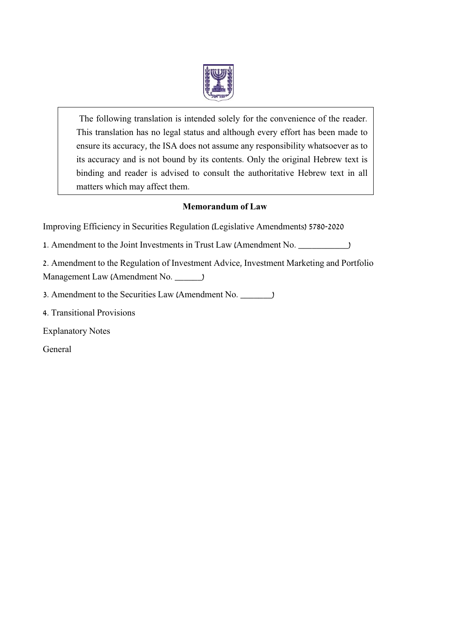

The following translation is intended solely for the convenience of the reader. This translation has no legal status and although every effort has been made to ensure its accuracy, the ISA does not assume any responsibility whatsoever as to its accuracy and is not bound by its contents. Only the original Hebrew text is binding and reader is advised to consult the authoritative Hebrew text in all matters which may affect them.

### **Memorandum of Law**

Improving Efficiency in Securities Regulation (Legislative Amendments) 5780-2020

1. Amendment to the Joint Investments in Trust Law (Amendment No. \_\_\_\_\_\_\_\_\_\_\_)

2. Amendment to the Regulation of Investment Advice, Investment Marketing and Portfolio Management Law (Amendment No. \_\_\_\_\_\_)

- 3. Amendment to the Securities Law (Amendment No. \_\_\_\_\_\_\_)
- 4. Transitional Provisions

Explanatory Notes

General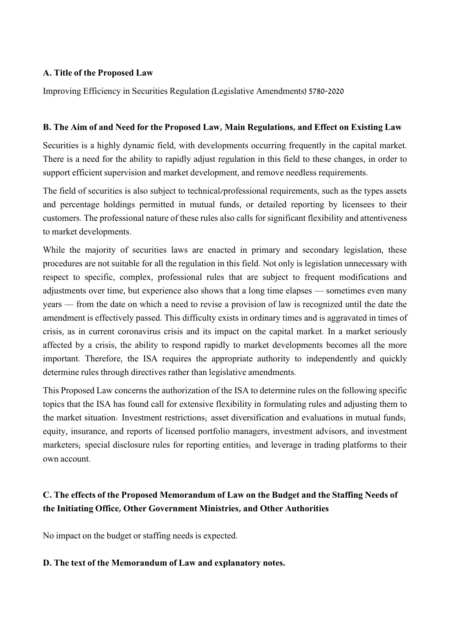### **A. Title of the Proposed Law**

Improving Efficiency in Securities Regulation (Legislative Amendments) 5780-2020

### **B. The Aim of and Need for the Proposed Law, Main Regulations, and Effect on Existing Law**

Securities is a highly dynamic field, with developments occurring frequently in the capital market. There is a need for the ability to rapidly adjust regulation in this field to these changes, in order to support efficient supervision and market development, and remove needless requirements.

The field of securities is also subject to technical/professional requirements, such as the types assets and percentage holdings permitted in mutual funds, or detailed reporting by licensees to their customers. The professional nature of these rules also calls for significant flexibility and attentiveness to market developments.

While the majority of securities laws are enacted in primary and secondary legislation, these procedures are not suitable for all the regulation in this field. Not only is legislation unnecessary with respect to specific, complex, professional rules that are subject to frequent modifications and adjustments over time, but experience also shows that a long time elapses — sometimes even many years — from the date on which a need to revise a provision of law is recognized until the date the amendment is effectively passed. This difficulty exists in ordinary times and is aggravated in times of crisis, as in current coronavirus crisis and its impact on the capital market. In a market seriously affected by a crisis, the ability to respond rapidly to market developments becomes all the more important. Therefore, the ISA requires the appropriate authority to independently and quickly determine rules through directives rather than legislative amendments.

This Proposed Law concerns the authorization of the ISA to determine rules on the following specific topics that the ISA has found call for extensive flexibility in formulating rules and adjusting them to the market situation: Investment restrictions; asset diversification and evaluations in mutual funds; equity, insurance, and reports of licensed portfolio managers, investment advisors, and investment marketers; special disclosure rules for reporting entities; and leverage in trading platforms to their own account.

### **C. The effects of the Proposed Memorandum of Law on the Budget and the Staffing Needs of the Initiating Office, Other Government Ministries, and Other Authorities**

No impact on the budget or staffing needs is expected.

### **D. The text of the Memorandum of Law and explanatory notes.**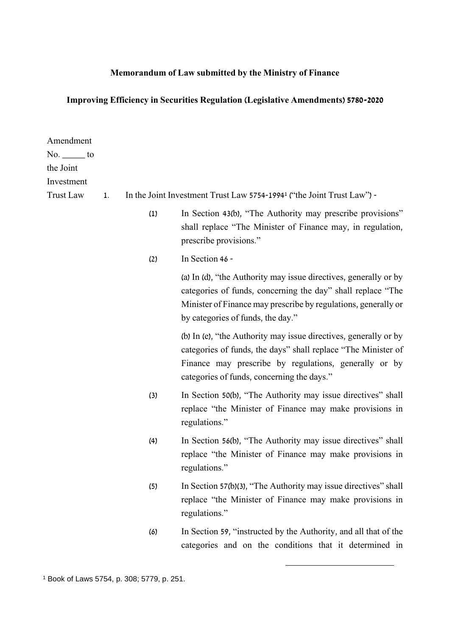# **Memorandum of Law submitted by the Ministry of Finance**

# **Improving Efficiency in Securities Regulation (Legislative Amendments) 5780-2020**

| Amendment<br>$No.$ to   |    |     |                                                                                                                                                                                                                                          |
|-------------------------|----|-----|------------------------------------------------------------------------------------------------------------------------------------------------------------------------------------------------------------------------------------------|
| the Joint<br>Investment |    |     |                                                                                                                                                                                                                                          |
| <b>Trust Law</b>        | 1. |     | In the Joint Investment Trust Law 5754-1994 <sup>1</sup> ("the Joint Trust Law") -                                                                                                                                                       |
|                         |    | (1) | In Section 43(b), "The Authority may prescribe provisions"<br>shall replace "The Minister of Finance may, in regulation,<br>prescribe provisions."                                                                                       |
|                         |    | (2) | In Section 46 -                                                                                                                                                                                                                          |
|                         |    |     | (a) In (d), "the Authority may issue directives, generally or by<br>categories of funds, concerning the day" shall replace "The<br>Minister of Finance may prescribe by regulations, generally or<br>by categories of funds, the day."   |
|                         |    |     | (b) In (e), "the Authority may issue directives, generally or by<br>categories of funds, the days" shall replace "The Minister of<br>Finance may prescribe by regulations, generally or by<br>categories of funds, concerning the days." |
|                         |    | (3) | In Section 50(b), "The Authority may issue directives" shall<br>replace "the Minister of Finance may make provisions in<br>regulations."                                                                                                 |
|                         |    | (4) | In Section 56(b), "The Authority may issue directives" shall<br>replace "the Minister of Finance may make provisions in<br>regulations."                                                                                                 |
|                         |    | (5) | In Section 57(b)(3), "The Authority may issue directives" shall<br>replace "the Minister of Finance may make provisions in<br>regulations."                                                                                              |
|                         |    | (6) | In Section 59, "instructed by the Authority, and all that of the<br>categories and on the conditions that it determined in                                                                                                               |

-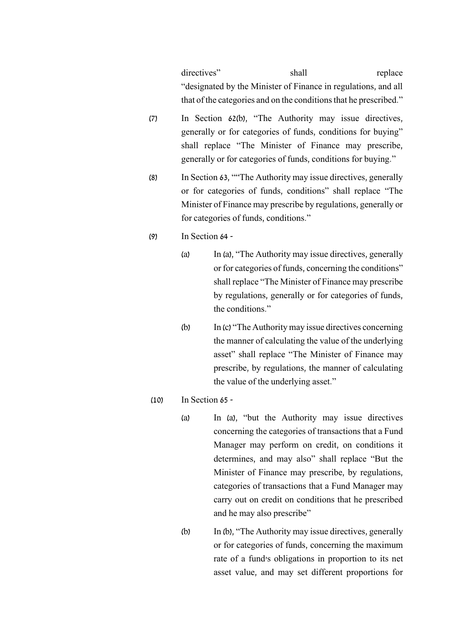directives" shall replace "designated by the Minister of Finance in regulations, and all that of the categories and on the conditions that he prescribed."

- (7) In Section 62(b), "The Authority may issue directives, generally or for categories of funds, conditions for buying" shall replace "The Minister of Finance may prescribe, generally or for categories of funds, conditions for buying."
- (8) In Section 63, ""The Authority may issue directives, generally or for categories of funds, conditions" shall replace "The Minister of Finance may prescribe by regulations, generally or for categories of funds, conditions."
- (9) In Section 64
	- (a) In (a), "The Authority may issue directives, generally or for categories of funds, concerning the conditions" shall replace "The Minister of Finance may prescribe by regulations, generally or for categories of funds, the conditions."
	- (b) In (c) "The Authority may issue directives concerning the manner of calculating the value of the underlying asset" shall replace "The Minister of Finance may prescribe, by regulations, the manner of calculating the value of the underlying asset."
- (10) In Section 65
	- (a) In (a), "but the Authority may issue directives concerning the categories of transactions that a Fund Manager may perform on credit, on conditions it determines, and may also" shall replace "But the Minister of Finance may prescribe, by regulations, categories of transactions that a Fund Manager may carry out on credit on conditions that he prescribed and he may also prescribe"
	- (b) In (b), "The Authority may issue directives, generally or for categories of funds, concerning the maximum rate of a fund's obligations in proportion to its net asset value, and may set different proportions for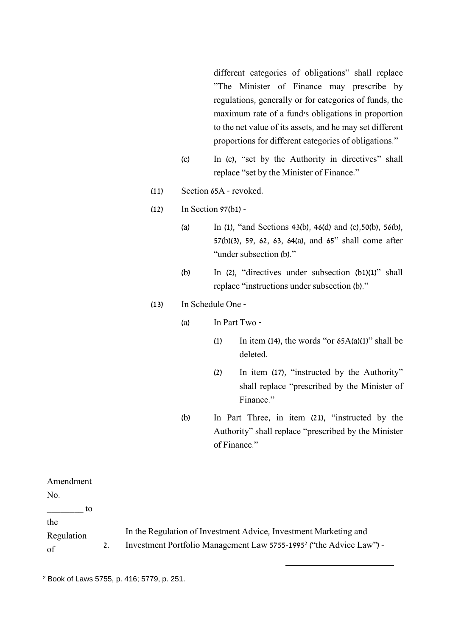different categories of obligations" shall replace "The Minister of Finance may prescribe by regulations, generally or for categories of funds, the maximum rate of a fund's obligations in proportion to the net value of its assets, and he may set different proportions for different categories of obligations."

- (c) In (c), "set by the Authority in directives" shall replace "set by the Minister of Finance."
- (11) Section 65A revoked.
- (12) In Section 97(b1)
	- (a) In (1), "and Sections 43(b), 46(d) and (e),50(b), 56(b), 57(b)(3), 59, 62, 63, 64(a), and 65" shall come after "under subsection (b)."
	- (b) In  $(2)$ , "directives under subsection  $(b1)(1)$ " shall replace "instructions under subsection (b)."

### (13) In Schedule One -

- (a) In Part Two
	- (1) In item (14), the words "or  $65A(a)(1)$ " shall be deleted.
	- (2) In item (17), "instructed by the Authority" shall replace "prescribed by the Minister of Finance."
- (b) In Part Three, in item (21), "instructed by the Authority" shall replace "prescribed by the Minister of Finance."

-

| Amendment               |                                                                                                                                                     |
|-------------------------|-----------------------------------------------------------------------------------------------------------------------------------------------------|
| No.                     |                                                                                                                                                     |
| tο                      |                                                                                                                                                     |
| the<br>Regulation<br>of | In the Regulation of Investment Advice, Investment Marketing and<br>Investment Portfolio Management Law 5755-1995 <sup>2</sup> ("the Advice Law") - |

<sup>2</sup> Book of Laws 5755, p. 416; 5779, p. 251.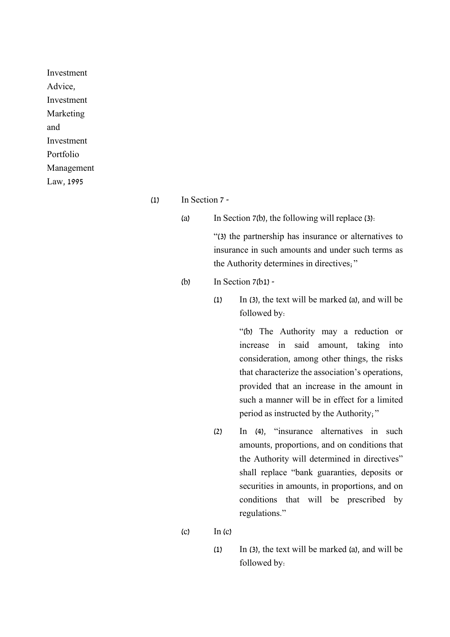Investment Advice, Investment Marketing and Investment Portfolio Management Law, 1995

- $\text{(1)}$  In Section 7 -
	- (a) In Section 7(b), the following will replace (3):

"(3) the partnership has insurance or alternatives to insurance in such amounts and under such terms as the Authority determines in directives;"

(b) In Section 7(b1) -

(1) In (3), the text will be marked (a), and will be followed by:

> "(b) The Authority may a reduction or increase in said amount, taking into consideration, among other things, the risks that characterize the association's operations, provided that an increase in the amount in such a manner will be in effect for a limited period as instructed by the Authority;"

- (2) In (4), "insurance alternatives in such amounts, proportions, and on conditions that the Authority will determined in directives" shall replace "bank guaranties, deposits or securities in amounts, in proportions, and on conditions that will be prescribed by regulations."
- $\text{In} \text{ (c)}$ 
	- (1) In (3), the text will be marked (a), and will be followed by: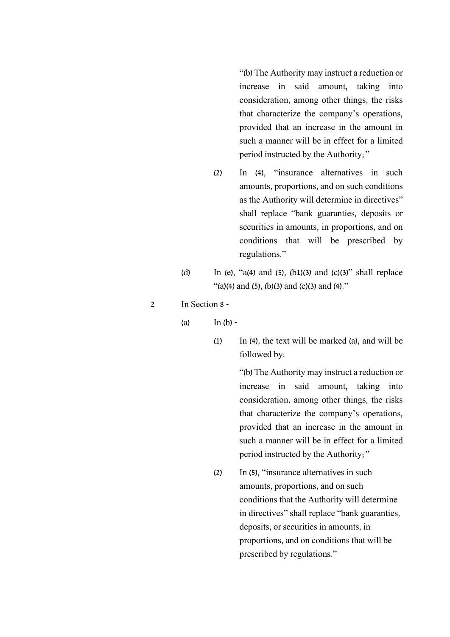"(b) The Authority may instruct a reduction or increase in said amount, taking into consideration, among other things, the risks that characterize the company's operations, provided that an increase in the amount in such a manner will be in effect for a limited period instructed by the Authority;"

- (2) In (4), "insurance alternatives in such amounts, proportions, and on such conditions as the Authority will determine in directives" shall replace "bank guaranties, deposits or securities in amounts, in proportions, and on conditions that will be prescribed by regulations."
- (d) In (e), "a(4) and (5), (b1)(3) and (c)(3)" shall replace "(a)(4) and (5), (b)(3) and (c)(3) and (4)."
- 2 In Section 8
	- $(a)$  In  $(b)$  -
		- (1) In (4), the text will be marked (a), and will be followed by:

"(b) The Authority may instruct a reduction or increase in said amount, taking into consideration, among other things, the risks that characterize the company's operations, provided that an increase in the amount in such a manner will be in effect for a limited period instructed by the Authority;"

(2) In (5), "insurance alternatives in such amounts, proportions, and on such conditions that the Authority will determine in directives" shall replace "bank guaranties, deposits, or securities in amounts, in proportions, and on conditions that will be prescribed by regulations."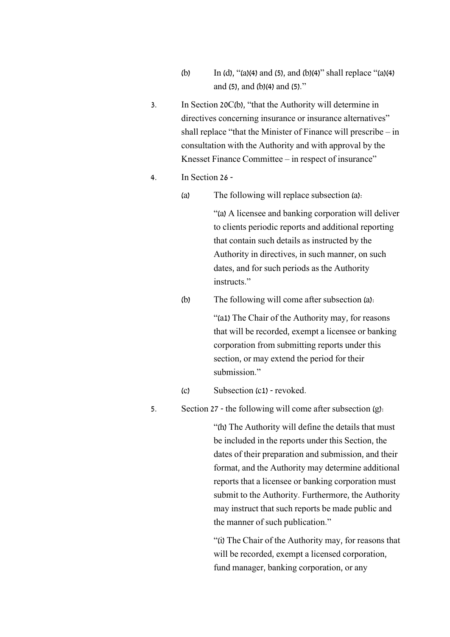- (b) In (d), "(a)(4) and (5), and (b)(4)" shall replace "(a)(4) and (5), and (b)(4) and (5)."
- 3. In Section 20C(b), "that the Authority will determine in directives concerning insurance or insurance alternatives" shall replace "that the Minister of Finance will prescribe – in consultation with the Authority and with approval by the Knesset Finance Committee – in respect of insurance"
- 4. In Section 26
	- (a) The following will replace subsection (a):

"(a) A licensee and banking corporation will deliver to clients periodic reports and additional reporting that contain such details as instructed by the Authority in directives, in such manner, on such dates, and for such periods as the Authority instructs."

(b) The following will come after subsection (a):

"(a1) The Chair of the Authority may, for reasons that will be recorded, exempt a licensee or banking corporation from submitting reports under this section, or may extend the period for their submission."

- (c) Subsection (c1) revoked.
- 5. Section 27 the following will come after subsection (g):

"(h) The Authority will define the details that must be included in the reports under this Section, the dates of their preparation and submission, and their format, and the Authority may determine additional reports that a licensee or banking corporation must submit to the Authority. Furthermore, the Authority may instruct that such reports be made public and the manner of such publication."

"(i) The Chair of the Authority may, for reasons that will be recorded, exempt a licensed corporation, fund manager, banking corporation, or any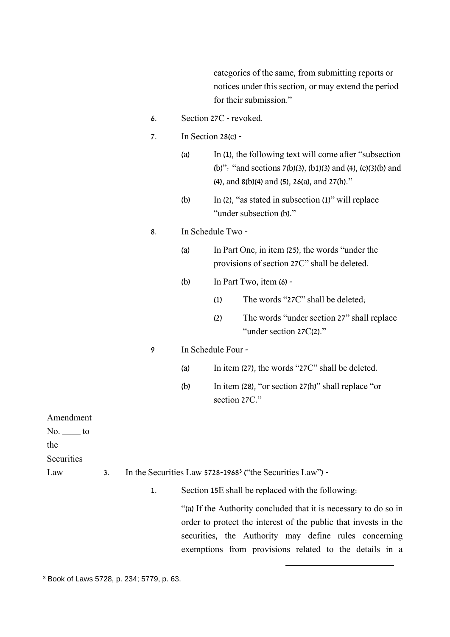categories of the same, from submitting reports or notices under this section, or may extend the period for their submission."

- 6. Section 27C revoked.
- 7. In Section 28(c)
	- (a) In (1), the following text will come after "subsection (b)": "and sections 7(b)(3), (b1)(3) and (4), (c)(3)(b) and (4), and 8(b)(4) and (5), 26(a), and 27(h)."
	- (b) In (2), "as stated in subsection (1)" will replace "under subsection (b)."

### 8. In Schedule Two -

- (a) In Part One, in item (25), the words "under the provisions of section 27C" shall be deleted.
- (b) In Part Two, item  $(6)$  -
	- (1) The words "27C" shall be deleted;
	- (2) The words "under section 27" shall replace "under section 27C(2)."

#### 9 In Schedule Four -

- (a) In item (27), the words "27C" shall be deleted.
- (b) In item (28), "or section 27(h)" shall replace "or section 27C."

Amendment

 $No.$  to

the

**Securities** 

Law 3. In the Securities Law 5728-1968<sup>3</sup> ("the Securities Law") -

1. Section 15E shall be replaced with the following:

"(a) If the Authority concluded that it is necessary to do so in order to protect the interest of the public that invests in the securities, the Authority may define rules concerning exemptions from provisions related to the details in a

-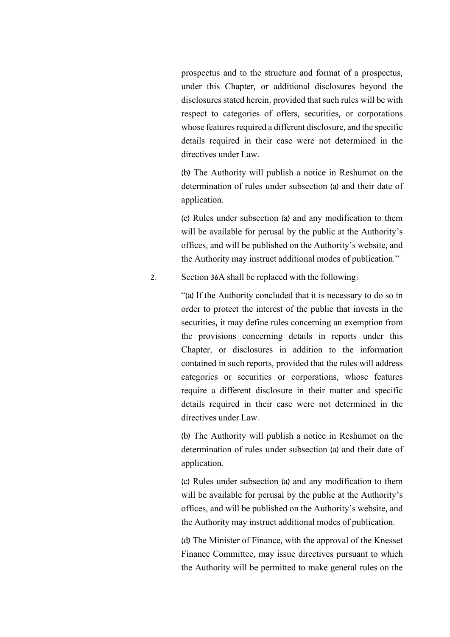prospectus and to the structure and format of a prospectus, under this Chapter, or additional disclosures beyond the disclosures stated herein, provided that such rules will be with respect to categories of offers, securities, or corporations whose features required a different disclosure, and the specific details required in their case were not determined in the directives under Law.

(b) The Authority will publish a notice in Reshumot on the determination of rules under subsection (a) and their date of application.

(c) Rules under subsection (a) and any modification to them will be available for perusal by the public at the Authority's offices, and will be published on the Authority's website, and the Authority may instruct additional modes of publication."

2. Section 36A shall be replaced with the following:

"(a) If the Authority concluded that it is necessary to do so in order to protect the interest of the public that invests in the securities, it may define rules concerning an exemption from the provisions concerning details in reports under this Chapter, or disclosures in addition to the information contained in such reports, provided that the rules will address categories or securities or corporations, whose features require a different disclosure in their matter and specific details required in their case were not determined in the directives under Law.

(b) The Authority will publish a notice in Reshumot on the determination of rules under subsection (a) and their date of application.

(c) Rules under subsection (a) and any modification to them will be available for perusal by the public at the Authority's offices, and will be published on the Authority's website, and the Authority may instruct additional modes of publication.

(d) The Minister of Finance, with the approval of the Knesset Finance Committee, may issue directives pursuant to which the Authority will be permitted to make general rules on the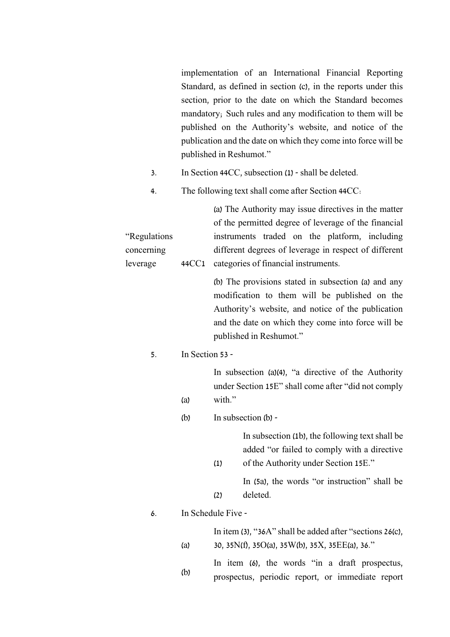implementation of an International Financial Reporting Standard, as defined in section (c), in the reports under this section, prior to the date on which the Standard becomes mandatory; Such rules and any modification to them will be published on the Authority's website, and notice of the publication and the date on which they come into force will be published in Reshumot."

- 3. In Section 44CC, subsection (1) shall be deleted.
- 4. The following text shall come after Section 44CC:

"Regulations concerning leverage (a) The Authority may issue directives in the matter of the permitted degree of leverage of the financial instruments traded on the platform, including different degrees of leverage in respect of different 44CC1 categories of financial instruments.

> (b) The provisions stated in subsection (a) and any modification to them will be published on the Authority's website, and notice of the publication and the date on which they come into force will be published in Reshumot."

### 5. In Section 53 -

(a)

In subsection (a)(4), "a directive of the Authority under Section 15E" shall come after "did not comply with."

(b) In subsection (b) -

(1)

(2)

In subsection (1b), the following text shall be added "or failed to comply with a directive of the Authority under Section 15E."

In (5a), the words "or instruction" shall be deleted.

### 6. In Schedule Five -

(a)

In item (3), "36A" shall be added after "sections 26(c), 30, 35N(f), 35O(a), 35W(b), 35X, 35EE(a), 36."

(b) In item (6), the words "in a draft prospectus, prospectus, periodic report, or immediate report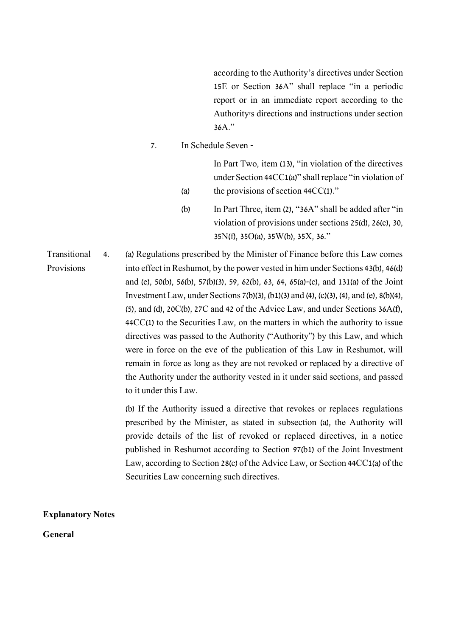according to the Authority's directives under Section 15E or Section 36A" shall replace "in a periodic report or in an immediate report according to the Authority's directions and instructions under section 36A."

7. In Schedule Seven -

(a)

In Part Two, item (13), "in violation of the directives under Section 44CC1(a)" shall replace "in violation of the provisions of section 44CC(1)."

(b) In Part Three, item (2), "36A" shall be added after "in violation of provisions under sections 25(d), 26(c), 30, 35N(f), 35O(a), 35W(b), 35X, 36."

Transitional Provisions 4. (a) Regulations prescribed by the Minister of Finance before this Law comes into effect in Reshumot, by the power vested in him under Sections 43(b), 46(d) and (e), 50(b), 56(b), 57(b)(3), 59, 62(b), 63, 64, 65(a)-(c), and 131(a) of the Joint Investment Law, under Sections 7(b)(3), (b1)(3) and (4), (c)(3), (4), and (e), 8(b)(4), (5), and (d), 20C(b), 27C and 42 of the Advice Law, and under Sections 36A(f), 44CC(1) to the Securities Law, on the matters in which the authority to issue directives was passed to the Authority ("Authority") by this Law, and which were in force on the eve of the publication of this Law in Reshumot, will remain in force as long as they are not revoked or replaced by a directive of the Authority under the authority vested in it under said sections, and passed to it under this Law.

> (b) If the Authority issued a directive that revokes or replaces regulations prescribed by the Minister, as stated in subsection (a), the Authority will provide details of the list of revoked or replaced directives, in a notice published in Reshumot according to Section 97(b1) of the Joint Investment Law, according to Section 28(c) of the Advice Law, or Section 44CC1(a) of the Securities Law concerning such directives.

**Explanatory Notes**

**General**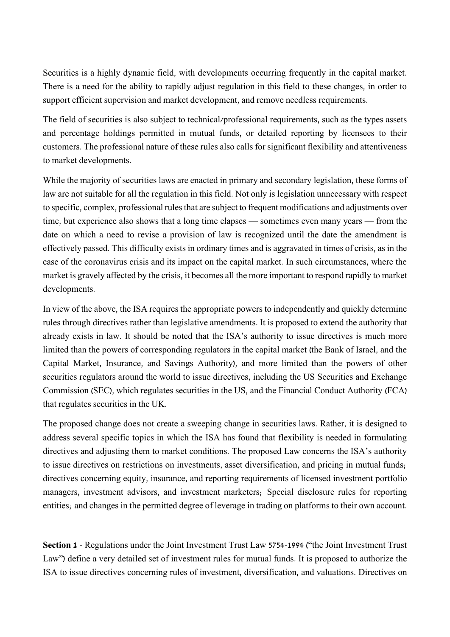Securities is a highly dynamic field, with developments occurring frequently in the capital market. There is a need for the ability to rapidly adjust regulation in this field to these changes, in order to support efficient supervision and market development, and remove needless requirements.

The field of securities is also subject to technical/professional requirements, such as the types assets and percentage holdings permitted in mutual funds, or detailed reporting by licensees to their customers. The professional nature of these rules also calls for significant flexibility and attentiveness to market developments.

While the majority of securities laws are enacted in primary and secondary legislation, these forms of law are not suitable for all the regulation in this field. Not only is legislation unnecessary with respect to specific, complex, professional rules that are subject to frequent modifications and adjustments over time, but experience also shows that a long time elapses — sometimes even many years — from the date on which a need to revise a provision of law is recognized until the date the amendment is effectively passed. This difficulty exists in ordinary times and is aggravated in times of crisis, as in the case of the coronavirus crisis and its impact on the capital market. In such circumstances, where the market is gravely affected by the crisis, it becomes all the more important to respond rapidly to market developments.

In view of the above, the ISA requires the appropriate powers to independently and quickly determine rules through directives rather than legislative amendments. It is proposed to extend the authority that already exists in law. It should be noted that the ISA's authority to issue directives is much more limited than the powers of corresponding regulators in the capital market (the Bank of Israel, and the Capital Market, Insurance, and Savings Authority), and more limited than the powers of other securities regulators around the world to issue directives, including the US Securities and Exchange Commission (SEC), which regulates securities in the US, and the Financial Conduct Authority (FCA) that regulates securities in the UK.

The proposed change does not create a sweeping change in securities laws. Rather, it is designed to address several specific topics in which the ISA has found that flexibility is needed in formulating directives and adjusting them to market conditions. The proposed Law concerns the ISA's authority to issue directives on restrictions on investments, asset diversification, and pricing in mutual funds; directives concerning equity, insurance, and reporting requirements of licensed investment portfolio managers, investment advisors, and investment marketers; Special disclosure rules for reporting entities; and changes in the permitted degree of leverage in trading on platforms to their own account.

**Section 1** - Regulations under the Joint Investment Trust Law 5754-1994 ("the Joint Investment Trust Law") define a very detailed set of investment rules for mutual funds. It is proposed to authorize the ISA to issue directives concerning rules of investment, diversification, and valuations. Directives on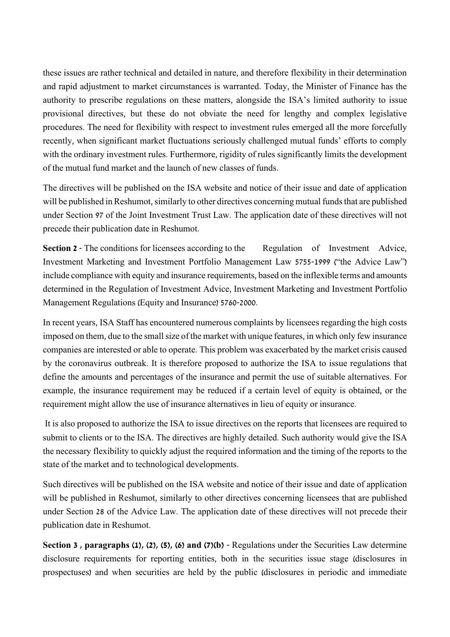these issues are rather technical and detailed in nature, and therefore flexibility in their determination and rapid adjustment to market circumstances is warranted. Today, the Minister of Finance has the authority to prescribe regulations on these matters, alongside the ISA's limited authority to issue provisional directives, but these do not obviate the need for lengthy and complex legislative procedures. The need for flexibility with respect to investment rules emerged all the more forcefully recently, when significant market fluctuations seriously challenged mutual funds' efforts to comply with the ordinary investment rules. Furthermore, rigidity of rules significantly limits the development of the mutual fund market and the launch of new classes of funds.

The directives will be published on the ISA website and notice of their issue and date of application will be published in Reshumot, similarly to other directives concerning mutual funds that are published under Section 97 of the Joint Investment Trust Law. The application date of these directives will not precede their publication date in Reshumot.

**Section 2** - The conditions for licensees according to the Regulation of Investment Advice, Investment Marketing and Investment Portfolio Management Law 5755-1999 ("the Advice Law") include compliance with equity and insurance requirements, based on the inflexible terms and amounts determined in the Regulation of Investment Advice, Investment Marketing and Investment Portfolio Management Regulations (Equity and Insurance) 5760-2000.

In recent years, ISA Staff has encountered numerous complaints by licensees regarding the high costs imposed on them, due to the small size of the market with unique features, in which only few insurance companies are interested or able to operate. This problem was exacerbated by the market crisis caused by the coronavirus outbreak. It is therefore proposed to authorize the ISA to issue regulations that define the amounts and percentages of the insurance and permit the use of suitable alternatives. For example, the insurance requirement may be reduced if a certain level of equity is obtained, or the requirement might allow the use of insurance alternatives in lieu of equity or insurance.

It is also proposed to authorize the ISA to issue directives on the reports that licensees are required to submit to clients or to the ISA. The directives are highly detailed. Such authority would give the ISA the necessary flexibility to quickly adjust the required information and the timing of the reports to the state of the market and to technological developments.

Such directives will be published on the ISA website and notice of their issue and date of application will be published in Reshumot, similarly to other directives concerning licensees that are published under Section 28 of the Advice Law. The application date of these directives will not precede their publication date in Reshumot.

**Section 3 , paragraphs (1), (2), (5), (6) and (7)(b)** - Regulations under the Securities Law determine disclosure requirements for reporting entities, both in the securities issue stage (disclosures in prospectuses) and when securities are held by the public (disclosures in periodic and immediate